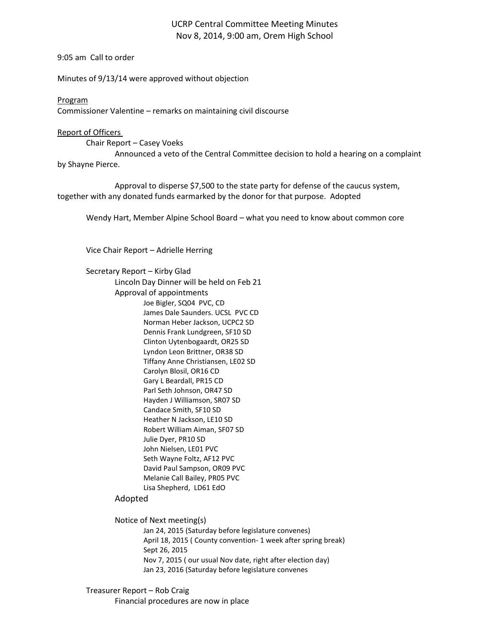# UCRP Central Committee Meeting Minutes Nov 8, 2014, 9:00 am, Orem High School

9:05 am Call to order

Minutes of 9/13/14 were approved without objection

## Program

Commissioner Valentine – remarks on maintaining civil discourse

## Report of Officers

Chair Report – Casey Voeks

Announced a veto of the Central Committee decision to hold a hearing on a complaint by Shayne Pierce.

Approval to disperse \$7,500 to the state party for defense of the caucus system, together with any donated funds earmarked by the donor for that purpose. Adopted

Wendy Hart, Member Alpine School Board – what you need to know about common core

Vice Chair Report – Adrielle Herring

Secretary Report – Kirby Glad

Lincoln Day Dinner will be held on Feb 21

Approval of appointments Joe Bigler, SQ04 PVC, CD

James Dale Saunders. UCSL PVC CD Norman Heber Jackson, UCPC2 SD Dennis Frank Lundgreen, SF10 SD Clinton Uytenbogaardt, OR25 SD Lyndon Leon Brittner, OR38 SD Tiffany Anne Christiansen, LE02 SD Carolyn Blosil, OR16 CD Gary L Beardall, PR15 CD Parl Seth Johnson, OR47 SD Hayden J Williamson, SR07 SD Candace Smith, SF10 SD Heather N Jackson, LE10 SD Robert William Aiman, SF07 SD Julie Dyer, PR10 SD John Nielsen, LE01 PVC Seth Wayne Foltz, AF12 PVC David Paul Sampson, OR09 PVC Melanie Call Bailey, PR05 PVC Lisa Shepherd, LD61 EdO

# Adopted

Notice of Next meeting(s) Jan 24, 2015 (Saturday before legislature convenes) April 18, 2015 ( County convention- 1 week after spring break) Sept 26, 2015 Nov 7, 2015 ( our usual Nov date, right after election day) Jan 23, 2016 (Saturday before legislature convenes

Treasurer Report – Rob Craig Financial procedures are now in place